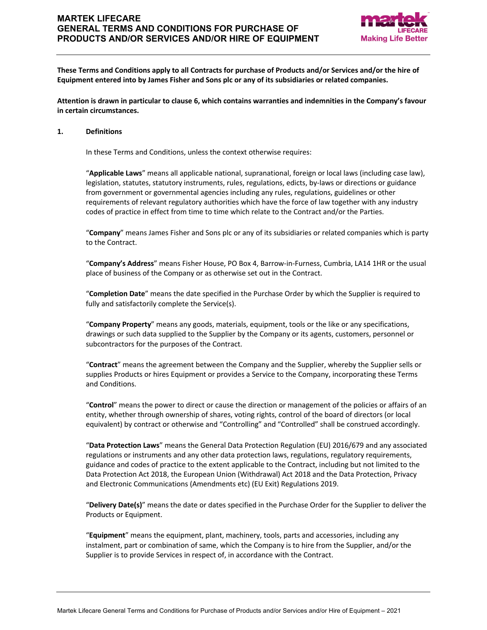# **MARTEK LIFECARE GENERAL TERMS AND CONDITIONS FOR PURCHASE OF PRODUCTS AND/OR SERVICES AND/OR HIRE OF EQUIPMENT**



**These Terms and Conditions apply to all Contracts for purchase of Products and/or Services and/or the hire of Equipment entered into by James Fisher and Sons plc or any of its subsidiaries or related companies.**

**Attention is drawn in particular to clause 6, which contains warranties and indemnities in the Company's favour in certain circumstances.**

### **1. Definitions**

In these Terms and Conditions, unless the context otherwise requires:

"**Applicable Laws**" means all applicable national, supranational, foreign or local laws (including case law), legislation, statutes, statutory instruments, rules, regulations, edicts, by-laws or directions or guidance from government or governmental agencies including any rules, regulations, guidelines or other requirements of relevant regulatory authorities which have the force of law together with any industry codes of practice in effect from time to time which relate to the Contract and/or the Parties.

"**Company**" means James Fisher and Sons plc or any of its subsidiaries or related companies which is party to the Contract.

"**Company's Address**" means Fisher House, PO Box 4, Barrow-in-Furness, Cumbria, LA14 1HR or the usual place of business of the Company or as otherwise set out in the Contract.

"**Completion Date**" means the date specified in the Purchase Order by which the Supplier is required to fully and satisfactorily complete the Service(s).

"**Company Property**" means any goods, materials, equipment, tools or the like or any specifications, drawings or such data supplied to the Supplier by the Company or its agents, customers, personnel or subcontractors for the purposes of the Contract.

"**Contract**" means the agreement between the Company and the Supplier, whereby the Supplier sells or supplies Products or hires Equipment or provides a Service to the Company, incorporating these Terms and Conditions.

"**Control**" means the power to direct or cause the direction or management of the policies or affairs of an entity, whether through ownership of shares, voting rights, control of the board of directors (or local equivalent) by contract or otherwise and "Controlling" and "Controlled" shall be construed accordingly.

"**Data Protection Laws**" means the General Data Protection Regulation (EU) 2016/679 and any associated regulations or instruments and any other data protection laws, regulations, regulatory requirements, guidance and codes of practice to the extent applicable to the Contract, including but not limited to the Data Protection Act 2018, the European Union (Withdrawal) Act 2018 and the Data Protection, Privacy and Electronic Communications (Amendments etc) (EU Exit) Regulations 2019.

"**Delivery Date(s)**" means the date or dates specified in the Purchase Order for the Supplier to deliver the Products or Equipment.

"**Equipment**" means the equipment, plant, machinery, tools, parts and accessories, including any instalment, part or combination of same, which the Company is to hire from the Supplier, and/or the Supplier is to provide Services in respect of, in accordance with the Contract.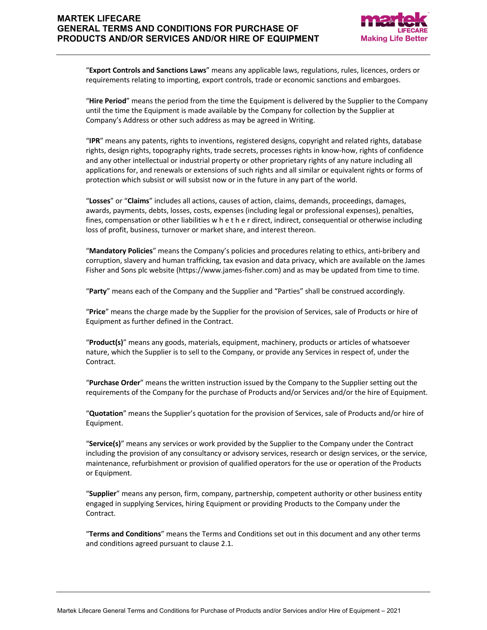# **MARTEK LIFECARE GENERAL TERMS AND CONDITIONS FOR PURCHASE OF PRODUCTS AND/OR SERVICES AND/OR HIRE OF EQUIPMENT**



"**Export Controls and Sanctions Laws**" means any applicable laws, regulations, rules, licences, orders or requirements relating to importing, export controls, trade or economic sanctions and embargoes.

"**Hire Period**" means the period from the time the Equipment is delivered by the Supplier to the Company until the time the Equipment is made available by the Company for collection by the Supplier at Company's Address or other such address as may be agreed in Writing.

"**IPR**" means any patents, rights to inventions, registered designs, copyright and related rights, database rights, design rights, topography rights, trade secrets, processes rights in know-how, rights of confidence and any other intellectual or industrial property or other proprietary rights of any nature including all applications for, and renewals or extensions of such rights and all similar or equivalent rights or forms of protection which subsist or will subsist now or in the future in any part of the world.

"**Losses**" or "**Claims**" includes all actions, causes of action, claims, demands, proceedings, damages, awards, payments, debts, losses, costs, expenses (including legal or professional expenses), penalties, fines, compensation or other liabilities w h e t h e r direct, indirect, consequential or otherwise including loss of profit, business, turnover or market share, and interest thereon.

"**Mandatory Policies**" means the Company's policies and procedures relating to ethics, anti-bribery and corruption, slavery and human trafficking, tax evasion and data privacy, which are available on the James Fisher and Sons plc website (https://www.james-fisher.com) and as may be updated from time to time.

"**Party**" means each of the Company and the Supplier and "Parties" shall be construed accordingly.

"**Price**" means the charge made by the Supplier for the provision of Services, sale of Products or hire of Equipment as further defined in the Contract.

"**Product(s)**" means any goods, materials, equipment, machinery, products or articles of whatsoever nature, which the Supplier is to sell to the Company, or provide any Services in respect of, under the Contract.

"**Purchase Order**" means the written instruction issued by the Company to the Supplier setting out the requirements of the Company for the purchase of Products and/or Services and/or the hire of Equipment.

"**Quotation**" means the Supplier's quotation for the provision of Services, sale of Products and/or hire of Equipment.

"**Service(s)**" means any services or work provided by the Supplier to the Company under the Contract including the provision of any consultancy or advisory services, research or design services, or the service, maintenance, refurbishment or provision of qualified operators for the use or operation of the Products or Equipment.

"**Supplier**" means any person, firm, company, partnership, competent authority or other business entity engaged in supplying Services, hiring Equipment or providing Products to the Company under the Contract.

"**Terms and Conditions**" means the Terms and Conditions set out in this document and any other terms and conditions agreed pursuant to clause 2.1.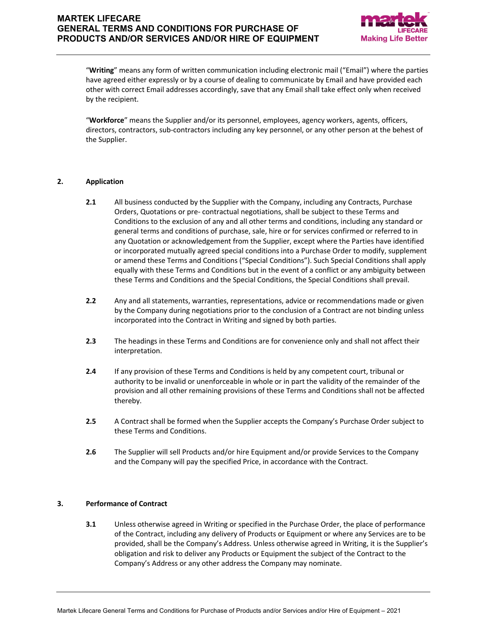

"**Writing**" means any form of written communication including electronic mail ("Email") where the parties have agreed either expressly or by a course of dealing to communicate by Email and have provided each other with correct Email addresses accordingly, save that any Email shall take effect only when received by the recipient.

"**Workforce**" means the Supplier and/or its personnel, employees, agency workers, agents, officers, directors, contractors, sub-contractors including any key personnel, or any other person at the behest of the Supplier.

## **2. Application**

- **2.1** All business conducted by the Supplier with the Company, including any Contracts, Purchase Orders, Quotations or pre- contractual negotiations, shall be subject to these Terms and Conditions to the exclusion of any and all other terms and conditions, including any standard or general terms and conditions of purchase, sale, hire or for services confirmed or referred to in any Quotation or acknowledgement from the Supplier, except where the Parties have identified or incorporated mutually agreed special conditions into a Purchase Order to modify, supplement or amend these Terms and Conditions ("Special Conditions"). Such Special Conditions shall apply equally with these Terms and Conditions but in the event of a conflict or any ambiguity between these Terms and Conditions and the Special Conditions, the Special Conditions shall prevail.
- **2.2** Any and all statements, warranties, representations, advice or recommendations made or given by the Company during negotiations prior to the conclusion of a Contract are not binding unless incorporated into the Contract in Writing and signed by both parties.
- **2.3** The headings in these Terms and Conditions are for convenience only and shall not affect their interpretation.
- **2.4** If any provision of these Terms and Conditions is held by any competent court, tribunal or authority to be invalid or unenforceable in whole or in part the validity of the remainder of the provision and all other remaining provisions of these Terms and Conditions shall not be affected thereby.
- **2.5** A Contract shall be formed when the Supplier accepts the Company's Purchase Order subject to these Terms and Conditions.
- **2.6** The Supplier will sell Products and/or hire Equipment and/or provide Services to the Company and the Company will pay the specified Price, in accordance with the Contract.

# **3. Performance of Contract**

**3.1** Unless otherwise agreed in Writing or specified in the Purchase Order, the place of performance of the Contract, including any delivery of Products or Equipment or where any Services are to be provided, shall be the Company's Address. Unless otherwise agreed in Writing, it is the Supplier's obligation and risk to deliver any Products or Equipment the subject of the Contract to the Company's Address or any other address the Company may nominate.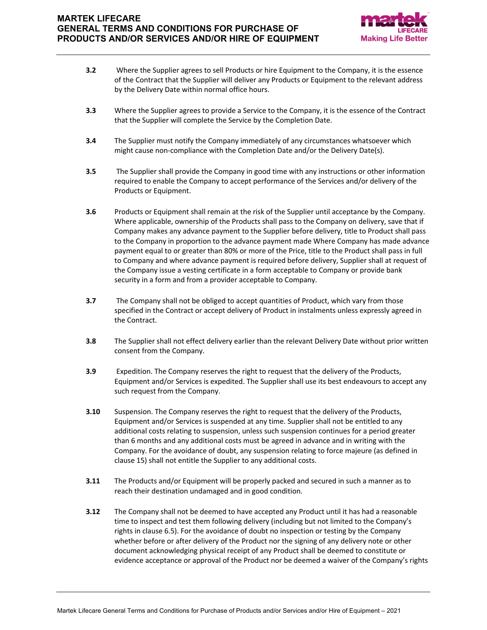

- **3.2** Where the Supplier agrees to sell Products or hire Equipment to the Company, it is the essence of the Contract that the Supplier will deliver any Products or Equipment to the relevant address by the Delivery Date within normal office hours.
- **3.3** Where the Supplier agrees to provide a Service to the Company, it is the essence of the Contract that the Supplier will complete the Service by the Completion Date.
- **3.4** The Supplier must notify the Company immediately of any circumstances whatsoever which might cause non-compliance with the Completion Date and/or the Delivery Date(s).
- **3.5** The Supplier shall provide the Company in good time with any instructions or other information required to enable the Company to accept performance of the Services and/or delivery of the Products or Equipment.
- **3.6** Products or Equipment shall remain at the risk of the Supplier until acceptance by the Company. Where applicable, ownership of the Products shall pass to the Company on delivery, save that if Company makes any advance payment to the Supplier before delivery, title to Product shall pass to the Company in proportion to the advance payment made Where Company has made advance payment equal to or greater than 80% or more of the Price, title to the Product shall pass in full to Company and where advance payment is required before delivery, Supplier shall at request of the Company issue a vesting certificate in a form acceptable to Company or provide bank security in a form and from a provider acceptable to Company.
- **3.7** The Company shall not be obliged to accept quantities of Product, which vary from those specified in the Contract or accept delivery of Product in instalments unless expressly agreed in the Contract.
- **3.8** The Supplier shall not effect delivery earlier than the relevant Delivery Date without prior written consent from the Company.
- **3.9** Expedition. The Company reserves the right to request that the delivery of the Products, Equipment and/or Services is expedited. The Supplier shall use its best endeavours to accept any such request from the Company.
- **3.10** Suspension. The Company reserves the right to request that the delivery of the Products, Equipment and/or Services is suspended at any time. Supplier shall not be entitled to any additional costs relating to suspension, unless such suspension continues for a period greater than 6 months and any additional costs must be agreed in advance and in writing with the Company. For the avoidance of doubt, any suspension relating to force majeure (as defined in clause 15) shall not entitle the Supplier to any additional costs.
- **3.11** The Products and/or Equipment will be properly packed and secured in such a manner as to reach their destination undamaged and in good condition.
- **3.12** The Company shall not be deemed to have accepted any Product until it has had a reasonable time to inspect and test them following delivery (including but not limited to the Company's rights in clause 6.5). For the avoidance of doubt no inspection or testing by the Company whether before or after delivery of the Product nor the signing of any delivery note or other document acknowledging physical receipt of any Product shall be deemed to constitute or evidence acceptance or approval of the Product nor be deemed a waiver of the Company's rights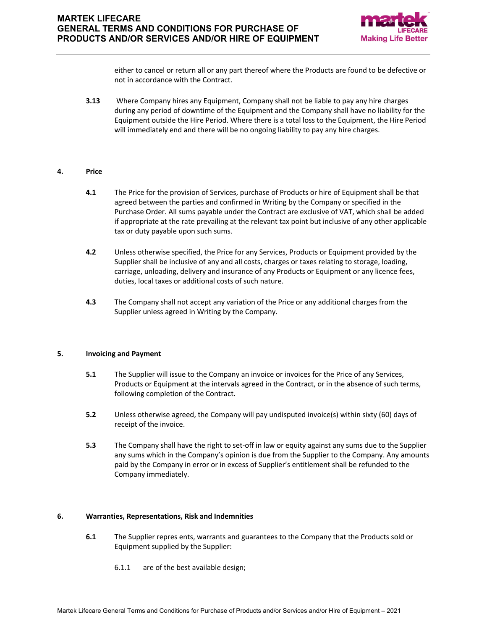

either to cancel or return all or any part thereof where the Products are found to be defective or not in accordance with the Contract.

**3.13** Where Company hires any Equipment, Company shall not be liable to pay any hire charges during any period of downtime of the Equipment and the Company shall have no liability for the Equipment outside the Hire Period. Where there is a total loss to the Equipment, the Hire Period will immediately end and there will be no ongoing liability to pay any hire charges.

### **4. Price**

- **4.1** The Price for the provision of Services, purchase of Products or hire of Equipment shall be that agreed between the parties and confirmed in Writing by the Company or specified in the Purchase Order. All sums payable under the Contract are exclusive of VAT, which shall be added if appropriate at the rate prevailing at the relevant tax point but inclusive of any other applicable tax or duty payable upon such sums.
- **4.2** Unless otherwise specified, the Price for any Services, Products or Equipment provided by the Supplier shall be inclusive of any and all costs, charges or taxes relating to storage, loading, carriage, unloading, delivery and insurance of any Products or Equipment or any licence fees, duties, local taxes or additional costs of such nature.
- **4.3** The Company shall not accept any variation of the Price or any additional charges from the Supplier unless agreed in Writing by the Company.

### **5. Invoicing and Payment**

- **5.1** The Supplier will issue to the Company an invoice or invoices for the Price of any Services, Products or Equipment at the intervals agreed in the Contract, or in the absence of such terms, following completion of the Contract.
- **5.2** Unless otherwise agreed, the Company will pay undisputed invoice(s) within sixty (60) days of receipt of the invoice.
- **5.3** The Company shall have the right to set-off in law or equity against any sums due to the Supplier any sums which in the Company's opinion is due from the Supplier to the Company. Any amounts paid by the Company in error or in excess of Supplier's entitlement shall be refunded to the Company immediately.

### **6. Warranties, Representations, Risk and Indemnities**

- **6.1** The Supplier repres ents, warrants and guarantees to the Company that the Products sold or Equipment supplied by the Supplier:
	- 6.1.1 are of the best available design;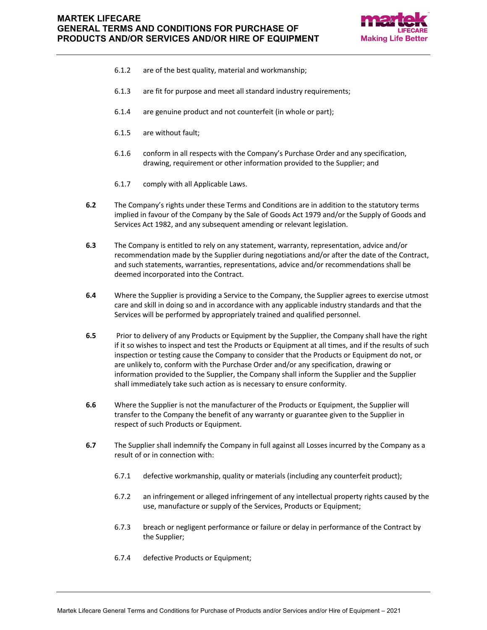

- 6.1.2 are of the best quality, material and workmanship;
- 6.1.3 are fit for purpose and meet all standard industry requirements;
- 6.1.4 are genuine product and not counterfeit (in whole or part);
- 6.1.5 are without fault;
- 6.1.6 conform in all respects with the Company's Purchase Order and any specification, drawing, requirement or other information provided to the Supplier; and
- 6.1.7 comply with all Applicable Laws.
- **6.2** The Company's rights under these Terms and Conditions are in addition to the statutory terms implied in favour of the Company by the Sale of Goods Act 1979 and/or the Supply of Goods and Services Act 1982, and any subsequent amending or relevant legislation.
- **6.3** The Company is entitled to rely on any statement, warranty, representation, advice and/or recommendation made by the Supplier during negotiations and/or after the date of the Contract, and such statements, warranties, representations, advice and/or recommendations shall be deemed incorporated into the Contract.
- **6.4** Where the Supplier is providing a Service to the Company, the Supplier agrees to exercise utmost care and skill in doing so and in accordance with any applicable industry standards and that the Services will be performed by appropriately trained and qualified personnel.
- **6.5** Prior to delivery of any Products or Equipment by the Supplier, the Company shall have the right if it so wishes to inspect and test the Products or Equipment at all times, and if the results of such inspection or testing cause the Company to consider that the Products or Equipment do not, or are unlikely to, conform with the Purchase Order and/or any specification, drawing or information provided to the Supplier, the Company shall inform the Supplier and the Supplier shall immediately take such action as is necessary to ensure conformity.
- **6.6** Where the Supplier is not the manufacturer of the Products or Equipment, the Supplier will transfer to the Company the benefit of any warranty or guarantee given to the Supplier in respect of such Products or Equipment.
- **6.7** The Supplier shall indemnify the Company in full against all Losses incurred by the Company as a result of or in connection with:
	- 6.7.1 defective workmanship, quality or materials (including any counterfeit product);
	- 6.7.2 an infringement or alleged infringement of any intellectual property rights caused by the use, manufacture or supply of the Services, Products or Equipment;
	- 6.7.3 breach or negligent performance or failure or delay in performance of the Contract by the Supplier;
	- 6.7.4 defective Products or Equipment;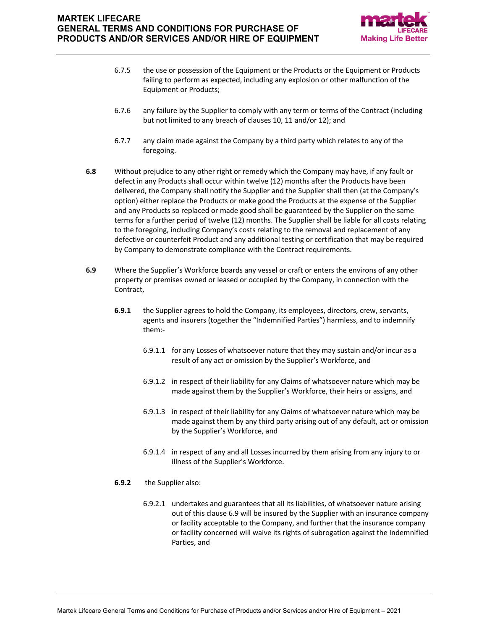

- 6.7.5 the use or possession of the Equipment or the Products or the Equipment or Products failing to perform as expected, including any explosion or other malfunction of the Equipment or Products;
- 6.7.6 any failure by the Supplier to comply with any term or terms of the Contract (including but not limited to any breach of clauses 10, 11 and/or 12); and
- 6.7.7 any claim made against the Company by a third party which relates to any of the foregoing.
- **6.8** Without prejudice to any other right or remedy which the Company may have, if any fault or defect in any Products shall occur within twelve (12) months after the Products have been delivered, the Company shall notify the Supplier and the Supplier shall then (at the Company's option) either replace the Products or make good the Products at the expense of the Supplier and any Products so replaced or made good shall be guaranteed by the Supplier on the same terms for a further period of twelve (12) months. The Supplier shall be liable for all costs relating to the foregoing, including Company's costs relating to the removal and replacement of any defective or counterfeit Product and any additional testing or certification that may be required by Company to demonstrate compliance with the Contract requirements.
- **6.9** Where the Supplier's Workforce boards any vessel or craft or enters the environs of any other property or premises owned or leased or occupied by the Company, in connection with the Contract,
	- **6.9.1** the Supplier agrees to hold the Company, its employees, directors, crew, servants, agents and insurers (together the "Indemnified Parties") harmless, and to indemnify them:-
		- 6.9.1.1 for any Losses of whatsoever nature that they may sustain and/or incur as a result of any act or omission by the Supplier's Workforce, and
		- 6.9.1.2 in respect of their liability for any Claims of whatsoever nature which may be made against them by the Supplier's Workforce, their heirs or assigns, and
		- 6.9.1.3 in respect of their liability for any Claims of whatsoever nature which may be made against them by any third party arising out of any default, act or omission by the Supplier's Workforce, and
		- 6.9.1.4 in respect of any and all Losses incurred by them arising from any injury to or illness of the Supplier's Workforce.
	- **6.9.2** the Supplier also:
		- 6.9.2.1 undertakes and guarantees that all its liabilities, of whatsoever nature arising out of this clause 6.9 will be insured by the Supplier with an insurance company or facility acceptable to the Company, and further that the insurance company or facility concerned will waive its rights of subrogation against the Indemnified Parties, and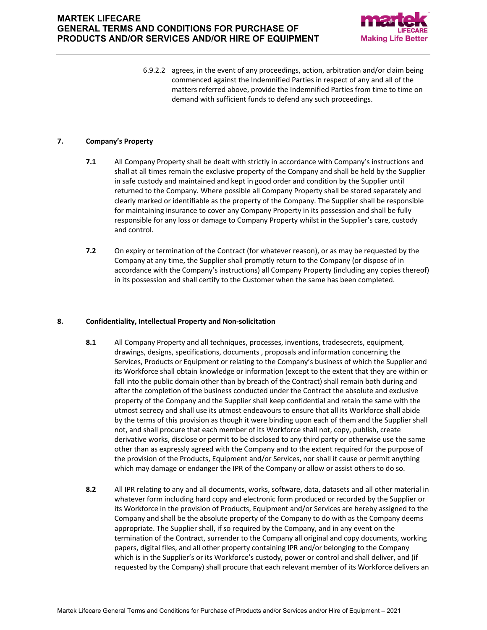

6.9.2.2 agrees, in the event of any proceedings, action, arbitration and/or claim being commenced against the Indemnified Parties in respect of any and all of the matters referred above, provide the Indemnified Parties from time to time on demand with sufficient funds to defend any such proceedings.

### **7. Company's Property**

- **7.1** All Company Property shall be dealt with strictly in accordance with Company's instructions and shall at all times remain the exclusive property of the Company and shall be held by the Supplier in safe custody and maintained and kept in good order and condition by the Supplier until returned to the Company. Where possible all Company Property shall be stored separately and clearly marked or identifiable as the property of the Company. The Supplier shall be responsible for maintaining insurance to cover any Company Property in its possession and shall be fully responsible for any loss or damage to Company Property whilst in the Supplier's care, custody and control.
- **7.2** On expiry or termination of the Contract (for whatever reason), or as may be requested by the Company at any time, the Supplier shall promptly return to the Company (or dispose of in accordance with the Company's instructions) all Company Property (including any copies thereof) in its possession and shall certify to the Customer when the same has been completed.

### **8. Confidentiality, Intellectual Property and Non-solicitation**

- **8.1** All Company Property and all techniques, processes, inventions, tradesecrets, equipment, drawings, designs, specifications, documents , proposals and information concerning the Services, Products or Equipment or relating to the Company's business of which the Supplier and its Workforce shall obtain knowledge or information (except to the extent that they are within or fall into the public domain other than by breach of the Contract) shall remain both during and after the completion of the business conducted under the Contract the absolute and exclusive property of the Company and the Supplier shall keep confidential and retain the same with the utmost secrecy and shall use its utmost endeavours to ensure that all its Workforce shall abide by the terms of this provision as though it were binding upon each of them and the Supplier shall not, and shall procure that each member of its Workforce shall not, copy, publish, create derivative works, disclose or permit to be disclosed to any third party or otherwise use the same other than as expressly agreed with the Company and to the extent required for the purpose of the provision of the Products, Equipment and/or Services, nor shall it cause or permit anything which may damage or endanger the IPR of the Company or allow or assist others to do so.
- **8.2** All IPR relating to any and all documents, works, software, data, datasets and all other material in whatever form including hard copy and electronic form produced or recorded by the Supplier or its Workforce in the provision of Products, Equipment and/or Services are hereby assigned to the Company and shall be the absolute property of the Company to do with as the Company deems appropriate. The Supplier shall, if so required by the Company, and in any event on the termination of the Contract, surrender to the Company all original and copy documents, working papers, digital files, and all other property containing IPR and/or belonging to the Company which is in the Supplier's or its Workforce's custody, power or control and shall deliver, and (if requested by the Company) shall procure that each relevant member of its Workforce delivers an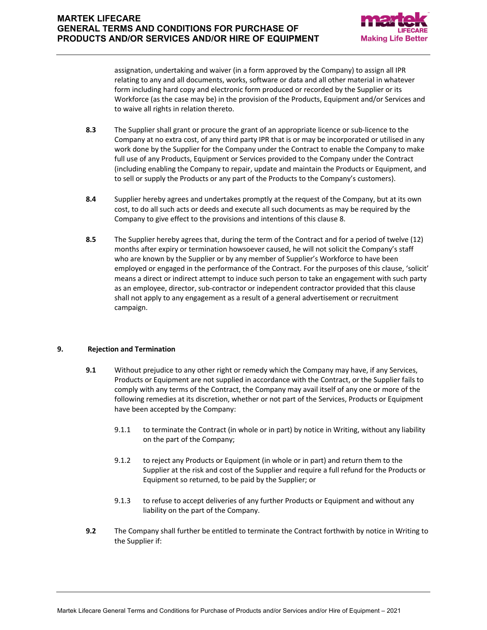

assignation, undertaking and waiver (in a form approved by the Company) to assign all IPR relating to any and all documents, works, software or data and all other material in whatever form including hard copy and electronic form produced or recorded by the Supplier or its Workforce (as the case may be) in the provision of the Products, Equipment and/or Services and to waive all rights in relation thereto.

- **8.3** The Supplier shall grant or procure the grant of an appropriate licence or sub-licence to the Company at no extra cost, of any third party IPR that is or may be incorporated or utilised in any work done by the Supplier for the Company under the Contract to enable the Company to make full use of any Products, Equipment or Services provided to the Company under the Contract (including enabling the Company to repair, update and maintain the Products or Equipment, and to sell or supply the Products or any part of the Products to the Company's customers).
- **8.4** Supplier hereby agrees and undertakes promptly at the request of the Company, but at its own cost, to do all such acts or deeds and execute all such documents as may be required by the Company to give effect to the provisions and intentions of this clause 8.
- **8.5** The Supplier hereby agrees that, during the term of the Contract and for a period of twelve (12) months after expiry or termination howsoever caused, he will not solicit the Company's staff who are known by the Supplier or by any member of Supplier's Workforce to have been employed or engaged in the performance of the Contract. For the purposes of this clause, 'solicit' means a direct or indirect attempt to induce such person to take an engagement with such party as an employee, director, sub-contractor or independent contractor provided that this clause shall not apply to any engagement as a result of a general advertisement or recruitment campaign.

## **9. Rejection and Termination**

- **9.1** Without prejudice to any other right or remedy which the Company may have, if any Services, Products or Equipment are not supplied in accordance with the Contract, or the Supplier fails to comply with any terms of the Contract, the Company may avail itself of any one or more of the following remedies at its discretion, whether or not part of the Services, Products or Equipment have been accepted by the Company:
	- 9.1.1 to terminate the Contract (in whole or in part) by notice in Writing, without any liability on the part of the Company;
	- 9.1.2 to reject any Products or Equipment (in whole or in part) and return them to the Supplier at the risk and cost of the Supplier and require a full refund for the Products or Equipment so returned, to be paid by the Supplier; or
	- 9.1.3 to refuse to accept deliveries of any further Products or Equipment and without any liability on the part of the Company.
- **9.2** The Company shall further be entitled to terminate the Contract forthwith by notice in Writing to the Supplier if: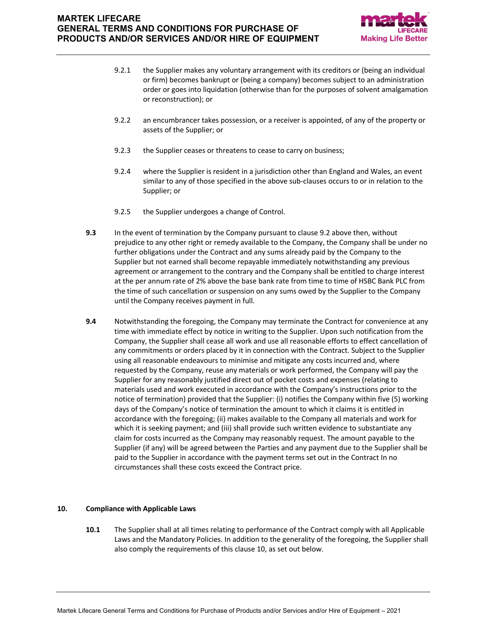

- 9.2.1 the Supplier makes any voluntary arrangement with its creditors or (being an individual or firm) becomes bankrupt or (being a company) becomes subject to an administration order or goes into liquidation (otherwise than for the purposes of solvent amalgamation or reconstruction); or
- 9.2.2 an encumbrancer takes possession, or a receiver is appointed, of any of the property or assets of the Supplier; or
- 9.2.3 the Supplier ceases or threatens to cease to carry on business;
- 9.2.4 where the Supplier is resident in a jurisdiction other than England and Wales, an event similar to any of those specified in the above sub-clauses occurs to or in relation to the Supplier; or
- 9.2.5 the Supplier undergoes a change of Control.
- **9.3** In the event of termination by the Company pursuant to clause 9.2 above then, without prejudice to any other right or remedy available to the Company, the Company shall be under no further obligations under the Contract and any sums already paid by the Company to the Supplier but not earned shall become repayable immediately notwithstanding any previous agreement or arrangement to the contrary and the Company shall be entitled to charge interest at the per annum rate of 2% above the base bank rate from time to time of HSBC Bank PLC from the time of such cancellation or suspension on any sums owed by the Supplier to the Company until the Company receives payment in full.
- **9.4** Notwithstanding the foregoing, the Company may terminate the Contract for convenience at any time with immediate effect by notice in writing to the Supplier. Upon such notification from the Company, the Supplier shall cease all work and use all reasonable efforts to effect cancellation of any commitments or orders placed by it in connection with the Contract. Subject to the Supplier using all reasonable endeavours to minimise and mitigate any costs incurred and, where requested by the Company, reuse any materials or work performed, the Company will pay the Supplier for any reasonably justified direct out of pocket costs and expenses (relating to materials used and work executed in accordance with the Company's instructions prior to the notice of termination) provided that the Supplier: (i) notifies the Company within five (5) working days of the Company's notice of termination the amount to which it claims it is entitled in accordance with the foregoing; (ii) makes available to the Company all materials and work for which it is seeking payment; and (iii) shall provide such written evidence to substantiate any claim for costs incurred as the Company may reasonably request. The amount payable to the Supplier (if any) will be agreed between the Parties and any payment due to the Supplier shall be paid to the Supplier in accordance with the payment terms set out in the Contract In no circumstances shall these costs exceed the Contract price.

### **10. Compliance with Applicable Laws**

**10.1** The Supplier shall at all times relating to performance of the Contract comply with all Applicable Laws and the Mandatory Policies. In addition to the generality of the foregoing, the Supplier shall also comply the requirements of this clause 10, as set out below.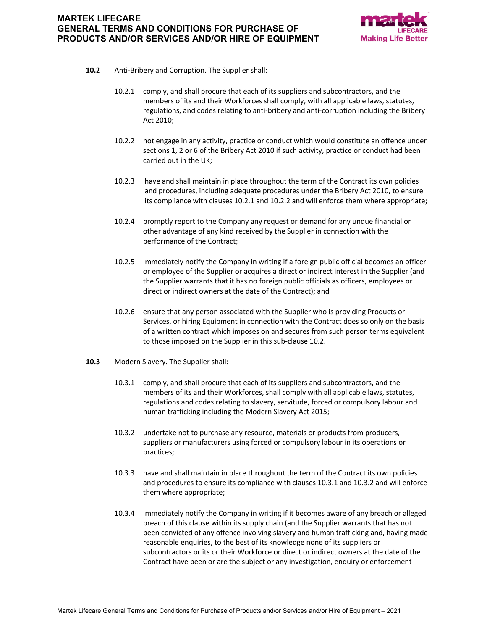

- **10.2** Anti-Bribery and Corruption. The Supplier shall:
	- 10.2.1 comply, and shall procure that each of its suppliers and subcontractors, and the members of its and their Workforces shall comply, with all applicable laws, statutes, regulations, and codes relating to anti-bribery and anti-corruption including the Bribery Act 2010;
	- 10.2.2 not engage in any activity, practice or conduct which would constitute an offence under sections 1, 2 or 6 of the Bribery Act 2010 if such activity, practice or conduct had been carried out in the UK;
	- 10.2.3 have and shall maintain in place throughout the term of the Contract its own policies and procedures, including adequate procedures under the Bribery Act 2010, to ensure its compliance with clauses 10.2.1 and 10.2.2 and will enforce them where appropriate;
	- 10.2.4 promptly report to the Company any request or demand for any undue financial or other advantage of any kind received by the Supplier in connection with the performance of the Contract;
	- 10.2.5 immediately notify the Company in writing if a foreign public official becomes an officer or employee of the Supplier or acquires a direct or indirect interest in the Supplier (and the Supplier warrants that it has no foreign public officials as officers, employees or direct or indirect owners at the date of the Contract); and
	- 10.2.6 ensure that any person associated with the Supplier who is providing Products or Services, or hiring Equipment in connection with the Contract does so only on the basis of a written contract which imposes on and secures from such person terms equivalent to those imposed on the Supplier in this sub-clause 10.2.
- **10.3** Modern Slavery. The Supplier shall:
	- 10.3.1 comply, and shall procure that each of its suppliers and subcontractors, and the members of its and their Workforces, shall comply with all applicable laws, statutes, regulations and codes relating to slavery, servitude, forced or compulsory labour and human trafficking including the Modern Slavery Act 2015;
	- 10.3.2 undertake not to purchase any resource, materials or products from producers, suppliers or manufacturers using forced or compulsory labour in its operations or practices;
	- 10.3.3 have and shall maintain in place throughout the term of the Contract its own policies and procedures to ensure its compliance with clauses 10.3.1 and 10.3.2 and will enforce them where appropriate;
	- 10.3.4 immediately notify the Company in writing if it becomes aware of any breach or alleged breach of this clause within its supply chain (and the Supplier warrants that has not been convicted of any offence involving slavery and human trafficking and, having made reasonable enquiries, to the best of its knowledge none of its suppliers or subcontractors or its or their Workforce or direct or indirect owners at the date of the Contract have been or are the subject or any investigation, enquiry or enforcement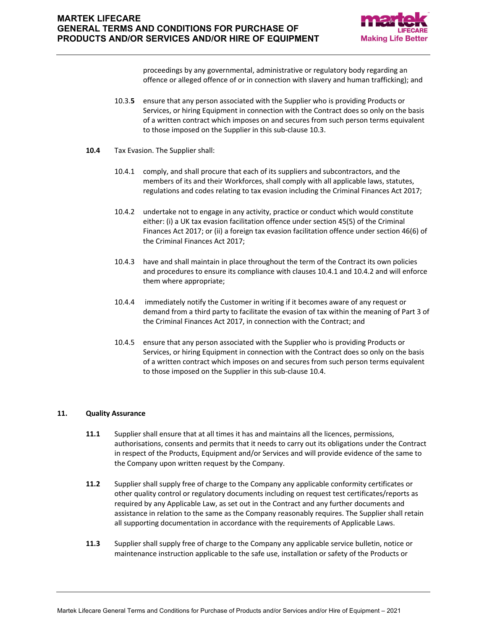

proceedings by any governmental, administrative or regulatory body regarding an offence or alleged offence of or in connection with slavery and human trafficking); and

- 10.3.**5** ensure that any person associated with the Supplier who is providing Products or Services, or hiring Equipment in connection with the Contract does so only on the basis of a written contract which imposes on and secures from such person terms equivalent to those imposed on the Supplier in this sub-clause 10.3.
- **10.4** Tax Evasion. The Supplier shall:
	- 10.4.1 comply, and shall procure that each of its suppliers and subcontractors, and the members of its and their Workforces, shall comply with all applicable laws, statutes, regulations and codes relating to tax evasion including the Criminal Finances Act 2017;
	- 10.4.2 undertake not to engage in any activity, practice or conduct which would constitute either: (i) a UK tax evasion facilitation offence under section 45(5) of the Criminal Finances Act 2017; or (ii) a foreign tax evasion facilitation offence under section 46(6) of the Criminal Finances Act 2017;
	- 10.4.3 have and shall maintain in place throughout the term of the Contract its own policies and procedures to ensure its compliance with clauses 10.4.1 and 10.4.2 and will enforce them where appropriate;
	- 10.4.4 immediately notify the Customer in writing if it becomes aware of any request or demand from a third party to facilitate the evasion of tax within the meaning of Part 3 of the Criminal Finances Act 2017, in connection with the Contract; and
	- 10.4.5 ensure that any person associated with the Supplier who is providing Products or Services, or hiring Equipment in connection with the Contract does so only on the basis of a written contract which imposes on and secures from such person terms equivalent to those imposed on the Supplier in this sub-clause 10.4.

## **11. Quality Assurance**

- **11.1** Supplier shall ensure that at all times it has and maintains all the licences, permissions, authorisations, consents and permits that it needs to carry out its obligations under the Contract in respect of the Products, Equipment and/or Services and will provide evidence of the same to the Company upon written request by the Company.
- **11.2** Supplier shall supply free of charge to the Company any applicable conformity certificates or other quality control or regulatory documents including on request test certificates/reports as required by any Applicable Law, as set out in the Contract and any further documents and assistance in relation to the same as the Company reasonably requires. The Supplier shall retain all supporting documentation in accordance with the requirements of Applicable Laws.
- **11.3** Supplier shall supply free of charge to the Company any applicable service bulletin, notice or maintenance instruction applicable to the safe use, installation or safety of the Products or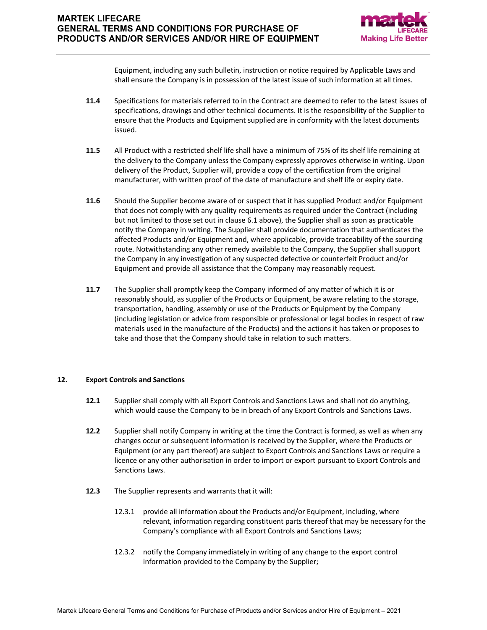

Equipment, including any such bulletin, instruction or notice required by Applicable Laws and shall ensure the Company is in possession of the latest issue of such information at all times.

- **11.4** Specifications for materials referred to in the Contract are deemed to refer to the latest issues of specifications, drawings and other technical documents. It is the responsibility of the Supplier to ensure that the Products and Equipment supplied are in conformity with the latest documents issued.
- **11.5** All Product with a restricted shelf life shall have a minimum of 75% of its shelf life remaining at the delivery to the Company unless the Company expressly approves otherwise in writing. Upon delivery of the Product, Supplier will, provide a copy of the certification from the original manufacturer, with written proof of the date of manufacture and shelf life or expiry date.
- **11.6** Should the Supplier become aware of or suspect that it has supplied Product and/or Equipment that does not comply with any quality requirements as required under the Contract (including but not limited to those set out in clause 6.1 above), the Supplier shall as soon as practicable notify the Company in writing. The Supplier shall provide documentation that authenticates the affected Products and/or Equipment and, where applicable, provide traceability of the sourcing route. Notwithstanding any other remedy available to the Company, the Supplier shall support the Company in any investigation of any suspected defective or counterfeit Product and/or Equipment and provide all assistance that the Company may reasonably request.
- **11.7** The Supplier shall promptly keep the Company informed of any matter of which it is or reasonably should, as supplier of the Products or Equipment, be aware relating to the storage, transportation, handling, assembly or use of the Products or Equipment by the Company (including legislation or advice from responsible or professional or legal bodies in respect of raw materials used in the manufacture of the Products) and the actions it has taken or proposes to take and those that the Company should take in relation to such matters.

### **12. Export Controls and Sanctions**

- **12.1** Supplier shall comply with all Export Controls and Sanctions Laws and shall not do anything, which would cause the Company to be in breach of any Export Controls and Sanctions Laws.
- **12.2** Supplier shall notify Company in writing at the time the Contract is formed, as well as when any changes occur or subsequent information is received by the Supplier, where the Products or Equipment (or any part thereof) are subject to Export Controls and Sanctions Laws or require a licence or any other authorisation in order to import or export pursuant to Export Controls and Sanctions Laws.
- **12.3** The Supplier represents and warrants that it will:
	- 12.3.1 provide all information about the Products and/or Equipment, including, where relevant, information regarding constituent parts thereof that may be necessary for the Company's compliance with all Export Controls and Sanctions Laws;
	- 12.3.2 notify the Company immediately in writing of any change to the export control information provided to the Company by the Supplier;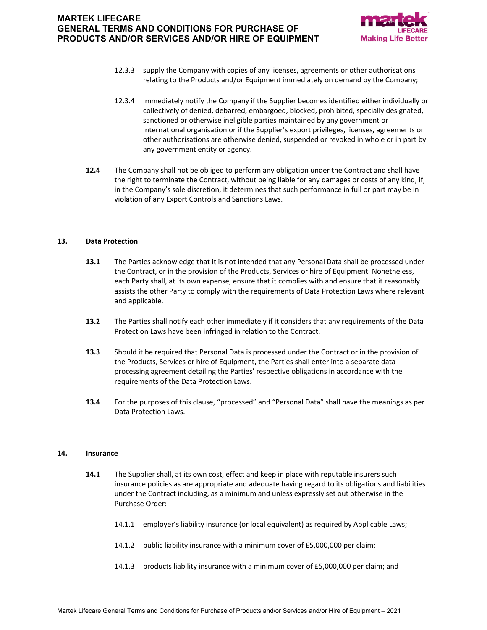

- 12.3.3 supply the Company with copies of any licenses, agreements or other authorisations relating to the Products and/or Equipment immediately on demand by the Company;
- 12.3.4 immediately notify the Company if the Supplier becomes identified either individually or collectively of denied, debarred, embargoed, blocked, prohibited, specially designated, sanctioned or otherwise ineligible parties maintained by any government or international organisation or if the Supplier's export privileges, licenses, agreements or other authorisations are otherwise denied, suspended or revoked in whole or in part by any government entity or agency.
- **12.4** The Company shall not be obliged to perform any obligation under the Contract and shall have the right to terminate the Contract, without being liable for any damages or costs of any kind, if, in the Company's sole discretion, it determines that such performance in full or part may be in violation of any Export Controls and Sanctions Laws.

### **13. Data Protection**

- **13.1** The Parties acknowledge that it is not intended that any Personal Data shall be processed under the Contract, or in the provision of the Products, Services or hire of Equipment. Nonetheless, each Party shall, at its own expense, ensure that it complies with and ensure that it reasonably assists the other Party to comply with the requirements of Data Protection Laws where relevant and applicable.
- **13.2** The Parties shall notify each other immediately if it considers that any requirements of the Data Protection Laws have been infringed in relation to the Contract.
- **13.3** Should it be required that Personal Data is processed under the Contract or in the provision of the Products, Services or hire of Equipment, the Parties shall enter into a separate data processing agreement detailing the Parties' respective obligations in accordance with the requirements of the Data Protection Laws.
- **13.4** For the purposes of this clause, "processed" and "Personal Data" shall have the meanings as per Data Protection Laws.

### **14. Insurance**

- **14.1** The Supplier shall, at its own cost, effect and keep in place with reputable insurers such insurance policies as are appropriate and adequate having regard to its obligations and liabilities under the Contract including, as a minimum and unless expressly set out otherwise in the Purchase Order:
	- 14.1.1 employer's liability insurance (or local equivalent) as required by Applicable Laws;
	- 14.1.2 public liability insurance with a minimum cover of £5,000,000 per claim;
	- 14.1.3 products liability insurance with a minimum cover of £5,000,000 per claim; and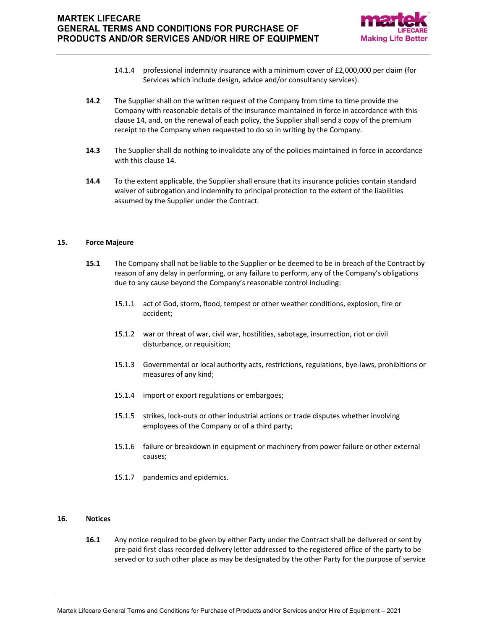

- 14.1.4 professional indemnity insurance with a minimum cover of £2,000,000 per claim (for Services which include design, advice and/or consultancy services).
- **14.2** The Supplier shall on the written request of the Company from time to time provide the Company with reasonable details of the insurance maintained in force in accordance with this clause 14, and, on the renewal of each policy, the Supplier shall send a copy of the premium receipt to the Company when requested to do so in writing by the Company.
- **14.3** The Supplier shall do nothing to invalidate any of the policies maintained in force in accordance with this clause 14.
- **14.4** To the extent applicable, the Supplier shall ensure that its insurance policies contain standard waiver of subrogation and indemnity to principal protection to the extent of the liabilities assumed by the Supplier under the Contract.

### **15. Force Majeure**

- **15.1** The Company shall not be liable to the Supplier or be deemed to be in breach of the Contract by reason of any delay in performing, or any failure to perform, any of the Company's obligations due to any cause beyond the Company's reasonable control including:
	- 15.1.1 act of God, storm, flood, tempest or other weather conditions, explosion, fire or accident;
	- 15.1.2 war or threat of war, civil war, hostilities, sabotage, insurrection, riot or civil disturbance, or requisition;
	- 15.1.3 Governmental or local authority acts, restrictions, regulations, bye-laws, prohibitions or measures of any kind;
	- 15.1.4 import or export regulations or embargoes;
	- 15.1.5 strikes, lock-outs or other industrial actions or trade disputes whether involving employees of the Company or of a third party;
	- 15.1.6 failure or breakdown in equipment or machinery from power failure or other external causes;
	- 15.1.7 pandemics and epidemics.

### **16. Notices**

**16.1** Any notice required to be given by either Party under the Contract shall be delivered or sent by pre-paid first class recorded delivery letter addressed to the registered office of the party to be served or to such other place as may be designated by the other Party for the purpose of service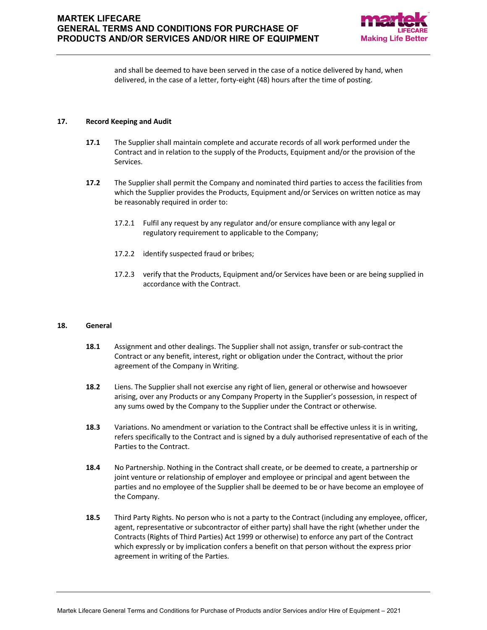

and shall be deemed to have been served in the case of a notice delivered by hand, when delivered, in the case of a letter, forty-eight (48) hours after the time of posting.

### **17. Record Keeping and Audit**

- **17.1** The Supplier shall maintain complete and accurate records of all work performed under the Contract and in relation to the supply of the Products, Equipment and/or the provision of the Services.
- **17.2** The Supplier shall permit the Company and nominated third parties to access the facilities from which the Supplier provides the Products, Equipment and/or Services on written notice as may be reasonably required in order to:
	- 17.2.1 Fulfil any request by any regulator and/or ensure compliance with any legal or regulatory requirement to applicable to the Company;
	- 17.2.2 identify suspected fraud or bribes;
	- 17.2.3 verify that the Products, Equipment and/or Services have been or are being supplied in accordance with the Contract.

### **18. General**

- **18.1** Assignment and other dealings. The Supplier shall not assign, transfer or sub-contract the Contract or any benefit, interest, right or obligation under the Contract, without the prior agreement of the Company in Writing.
- **18.2** Liens. The Supplier shall not exercise any right of lien, general or otherwise and howsoever arising, over any Products or any Company Property in the Supplier's possession, in respect of any sums owed by the Company to the Supplier under the Contract or otherwise.
- **18.3** Variations. No amendment or variation to the Contract shall be effective unless it is in writing, refers specifically to the Contract and is signed by a duly authorised representative of each of the Parties to the Contract.
- **18.4** No Partnership. Nothing in the Contract shall create, or be deemed to create, a partnership or joint venture or relationship of employer and employee or principal and agent between the parties and no employee of the Supplier shall be deemed to be or have become an employee of the Company.
- **18.5** Third Party Rights. No person who is not a party to the Contract (including any employee, officer, agent, representative or subcontractor of either party) shall have the right (whether under the Contracts (Rights of Third Parties) Act 1999 or otherwise) to enforce any part of the Contract which expressly or by implication confers a benefit on that person without the express prior agreement in writing of the Parties.